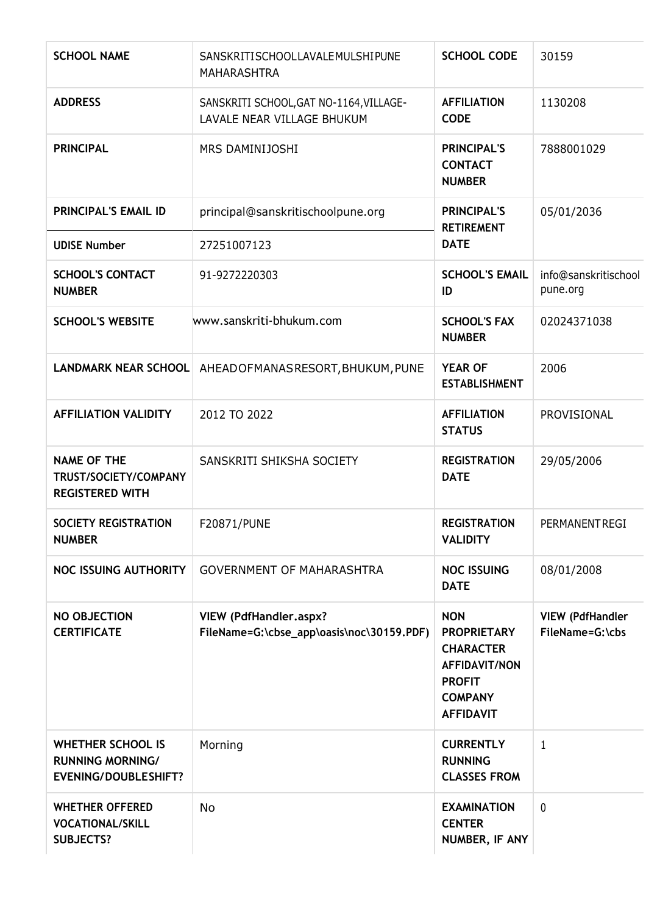| <b>SCHOOL NAME</b>                                                                 | SANSKRITISCHOOLLAVALEMULSHIPUNE<br><b>MAHARASHTRA</b>                      | <b>SCHOOL CODE</b>                                                                                                                  | 30159                                      |
|------------------------------------------------------------------------------------|----------------------------------------------------------------------------|-------------------------------------------------------------------------------------------------------------------------------------|--------------------------------------------|
| <b>ADDRESS</b>                                                                     | SANSKRITI SCHOOL, GAT NO-1164, VILLAGE-<br>LAVALE NEAR VILLAGE BHUKUM      | <b>AFFILIATION</b><br><b>CODE</b>                                                                                                   | 1130208                                    |
| <b>PRINCIPAL</b>                                                                   | MRS DAMINIJOSHI                                                            | <b>PRINCIPAL'S</b><br><b>CONTACT</b><br><b>NUMBER</b>                                                                               | 7888001029                                 |
| <b>PRINCIPAL'S EMAIL ID</b>                                                        | principal@sanskritischoolpune.org                                          | <b>PRINCIPAL'S</b><br><b>RETIREMENT</b>                                                                                             | 05/01/2036                                 |
| <b>UDISE Number</b>                                                                | 27251007123                                                                | <b>DATE</b>                                                                                                                         |                                            |
| <b>SCHOOL'S CONTACT</b><br><b>NUMBER</b>                                           | 91-9272220303                                                              | <b>SCHOOL'S EMAIL</b><br>ID                                                                                                         | info@sanskritischool<br>pune.org           |
| <b>SCHOOL'S WEBSITE</b>                                                            | www.sanskriti-bhukum.com                                                   | <b>SCHOOL'S FAX</b><br><b>NUMBER</b>                                                                                                | 02024371038                                |
| <b>LANDMARK NEAR SCHOOL</b>                                                        | AHEADOFMANASRESORT, BHUKUM, PUNE                                           | <b>YEAR OF</b><br><b>ESTABLISHMENT</b>                                                                                              | 2006                                       |
| <b>AFFILIATION VALIDITY</b>                                                        | 2012 TO 2022                                                               | <b>AFFILIATION</b><br><b>STATUS</b>                                                                                                 | PROVISIONAL                                |
| <b>NAME OF THE</b><br>TRUST/SOCIETY/COMPANY<br><b>REGISTERED WITH</b>              | SANSKRITI SHIKSHA SOCIETY                                                  | <b>REGISTRATION</b><br><b>DATE</b>                                                                                                  | 29/05/2006                                 |
| SOCIETY REGISTRATION<br><b>NUMBER</b>                                              | F20871/PUNE                                                                | <b>REGISTRATION</b><br><b>VALIDITY</b>                                                                                              | PERMANENTREGI                              |
| <b>NOC ISSUING AUTHORITY</b>                                                       | <b>GOVERNMENT OF MAHARASHTRA</b>                                           | <b>NOC ISSUING</b><br><b>DATE</b>                                                                                                   | 08/01/2008                                 |
| <b>NO OBJECTION</b><br><b>CERTIFICATE</b>                                          | <b>VIEW (PdfHandler.aspx?</b><br>FileName=G:\cbse_app\oasis\noc\30159.PDF) | <b>NON</b><br><b>PROPRIETARY</b><br><b>CHARACTER</b><br><b>AFFIDAVIT/NON</b><br><b>PROFIT</b><br><b>COMPANY</b><br><b>AFFIDAVIT</b> | <b>VIEW (PdfHandler</b><br>FileName=G:\cbs |
| <b>WHETHER SCHOOL IS</b><br><b>RUNNING MORNING/</b><br><b>EVENING/DOUBLESHIFT?</b> | Morning                                                                    | <b>CURRENTLY</b><br><b>RUNNING</b><br><b>CLASSES FROM</b>                                                                           | $\mathbf{1}$                               |
| <b>WHETHER OFFERED</b><br><b>VOCATIONAL/SKILL</b><br><b>SUBJECTS?</b>              | <b>No</b>                                                                  | <b>EXAMINATION</b><br><b>CENTER</b><br>NUMBER, IF ANY                                                                               | $\mathbf 0$                                |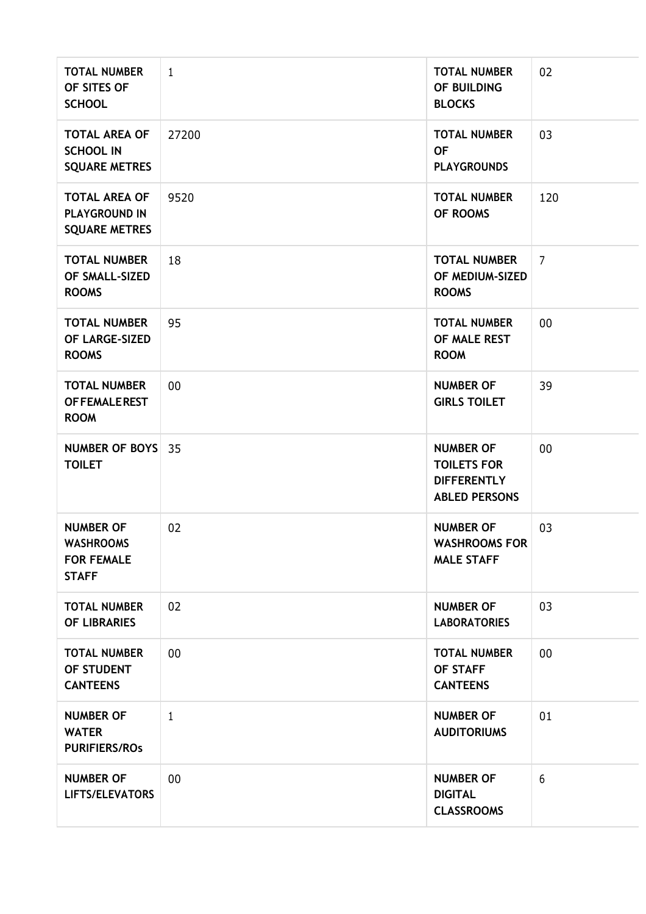| <b>TOTAL NUMBER</b><br>OF SITES OF<br><b>SCHOOL</b>                       | $\mathbf{1}$ | <b>TOTAL NUMBER</b><br>OF BUILDING<br><b>BLOCKS</b>                                  | 02             |
|---------------------------------------------------------------------------|--------------|--------------------------------------------------------------------------------------|----------------|
| <b>TOTAL AREA OF</b><br><b>SCHOOL IN</b><br><b>SQUARE METRES</b>          | 27200        | <b>TOTAL NUMBER</b><br><b>OF</b><br><b>PLAYGROUNDS</b>                               | 03             |
| <b>TOTAL AREA OF</b><br><b>PLAYGROUND IN</b><br><b>SQUARE METRES</b>      | 9520         | <b>TOTAL NUMBER</b><br>OF ROOMS                                                      | 120            |
| <b>TOTAL NUMBER</b><br>OF SMALL-SIZED<br><b>ROOMS</b>                     | 18           | <b>TOTAL NUMBER</b><br>OF MEDIUM-SIZED<br><b>ROOMS</b>                               | $\overline{7}$ |
| <b>TOTAL NUMBER</b><br>OF LARGE-SIZED<br><b>ROOMS</b>                     | 95           | <b>TOTAL NUMBER</b><br>OF MALE REST<br><b>ROOM</b>                                   | 00             |
| <b>TOTAL NUMBER</b><br><b>OF FEMALE REST</b><br><b>ROOM</b>               | 00           | <b>NUMBER OF</b><br><b>GIRLS TOILET</b>                                              | 39             |
| NUMBER OF BOYS 35<br><b>TOILET</b>                                        |              | <b>NUMBER OF</b><br><b>TOILETS FOR</b><br><b>DIFFERENTLY</b><br><b>ABLED PERSONS</b> | 00             |
| <b>NUMBER OF</b><br><b>WASHROOMS</b><br><b>FOR FEMALE</b><br><b>STAFF</b> | 02           | <b>NUMBER OF</b><br><b>WASHROOMS FOR</b><br><b>MALE STAFF</b>                        | 03             |
| <b>TOTAL NUMBER</b><br><b>OF LIBRARIES</b>                                | 02           | <b>NUMBER OF</b><br><b>LABORATORIES</b>                                              | 03             |
| <b>TOTAL NUMBER</b><br>OF STUDENT<br><b>CANTEENS</b>                      | 00           | <b>TOTAL NUMBER</b><br>OF STAFF<br><b>CANTEENS</b>                                   | $00\,$         |
| <b>NUMBER OF</b><br><b>WATER</b><br><b>PURIFIERS/ROS</b>                  | $\mathbf{1}$ | <b>NUMBER OF</b><br><b>AUDITORIUMS</b>                                               | 01             |
| <b>NUMBER OF</b><br>LIFTS/ELEVATORS                                       | 00           | <b>NUMBER OF</b><br><b>DIGITAL</b><br><b>CLASSROOMS</b>                              | 6              |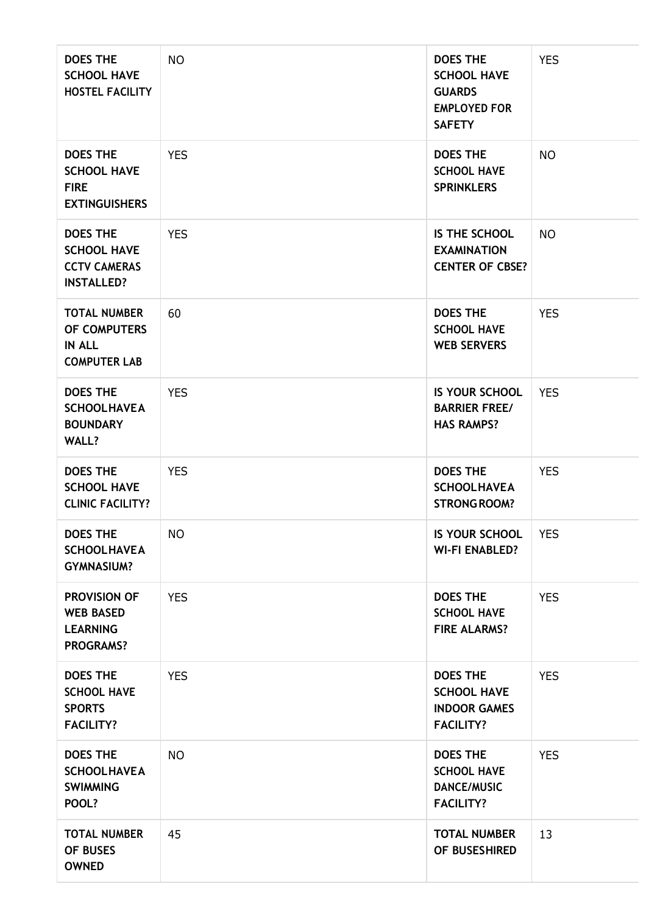| <b>DOES THE</b><br><b>SCHOOL HAVE</b><br><b>HOSTEL FACILITY</b>                   | <b>NO</b>  | <b>DOES THE</b><br><b>SCHOOL HAVE</b><br><b>GUARDS</b><br><b>EMPLOYED FOR</b><br><b>SAFETY</b> | <b>YES</b> |
|-----------------------------------------------------------------------------------|------------|------------------------------------------------------------------------------------------------|------------|
| <b>DOES THE</b><br><b>SCHOOL HAVE</b><br><b>FIRE</b><br><b>EXTINGUISHERS</b>      | <b>YES</b> | <b>DOES THE</b><br><b>SCHOOL HAVE</b><br><b>SPRINKLERS</b>                                     | <b>NO</b>  |
| <b>DOES THE</b><br><b>SCHOOL HAVE</b><br><b>CCTV CAMERAS</b><br><b>INSTALLED?</b> | <b>YES</b> | IS THE SCHOOL<br><b>EXAMINATION</b><br><b>CENTER OF CBSE?</b>                                  | <b>NO</b>  |
| <b>TOTAL NUMBER</b><br>OF COMPUTERS<br><b>IN ALL</b><br><b>COMPUTER LAB</b>       | 60         | <b>DOES THE</b><br><b>SCHOOL HAVE</b><br><b>WEB SERVERS</b>                                    | <b>YES</b> |
| <b>DOES THE</b><br><b>SCHOOLHAVEA</b><br><b>BOUNDARY</b><br><b>WALL?</b>          | <b>YES</b> | <b>IS YOUR SCHOOL</b><br><b>BARRIER FREE/</b><br><b>HAS RAMPS?</b>                             | <b>YES</b> |
| <b>DOES THE</b><br><b>SCHOOL HAVE</b><br><b>CLINIC FACILITY?</b>                  | <b>YES</b> | <b>DOES THE</b><br><b>SCHOOLHAVEA</b><br><b>STRONG ROOM?</b>                                   | <b>YES</b> |
| <b>DOES THE</b><br><b>SCHOOLHAVEA</b><br><b>GYMNASIUM?</b>                        | <b>NO</b>  | <b>IS YOUR SCHOOL</b><br><b>WI-FI ENABLED?</b>                                                 | <b>YES</b> |
| <b>PROVISION OF</b><br><b>WEB BASED</b><br><b>LEARNING</b><br><b>PROGRAMS?</b>    | <b>YES</b> | <b>DOES THE</b><br><b>SCHOOL HAVE</b><br><b>FIRE ALARMS?</b>                                   | <b>YES</b> |
| <b>DOES THE</b><br><b>SCHOOL HAVE</b><br><b>SPORTS</b><br><b>FACILITY?</b>        | <b>YES</b> | <b>DOES THE</b><br><b>SCHOOL HAVE</b><br><b>INDOOR GAMES</b><br><b>FACILITY?</b>               | <b>YES</b> |
| <b>DOES THE</b><br><b>SCHOOLHAVEA</b><br><b>SWIMMING</b><br>POOL?                 | <b>NO</b>  | <b>DOES THE</b><br><b>SCHOOL HAVE</b><br><b>DANCE/MUSIC</b><br><b>FACILITY?</b>                | <b>YES</b> |
| <b>TOTAL NUMBER</b><br>OF BUSES<br><b>OWNED</b>                                   | 45         | <b>TOTAL NUMBER</b><br>OF BUSESHIRED                                                           | 13         |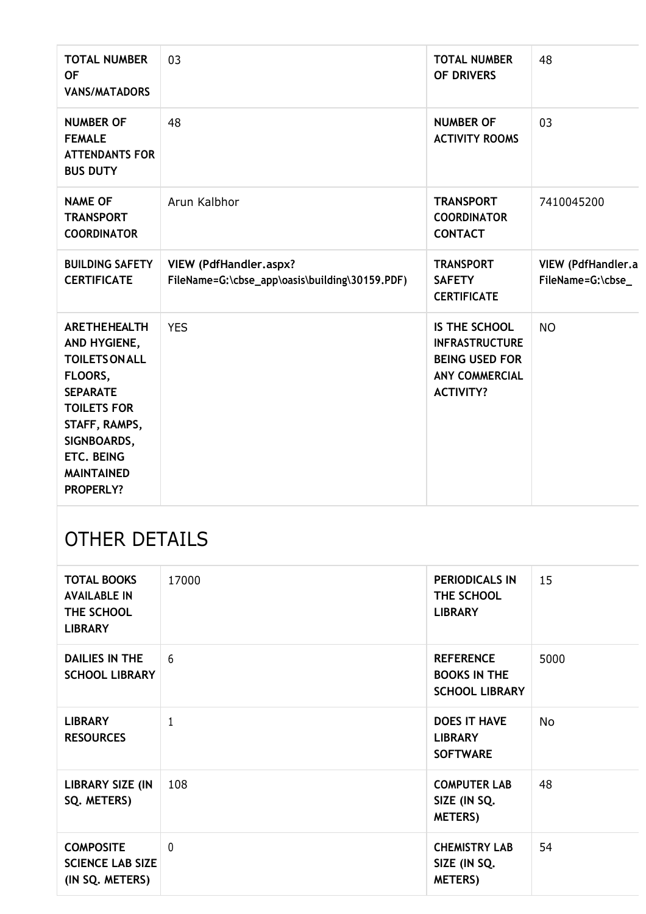| <b>TOTAL NUMBER</b><br><b>OF</b><br><b>VANS/MATADORS</b>                                                                                                                                                | 03                                                                       | <b>TOTAL NUMBER</b><br>OF DRIVERS                                                                            | 48                                     |
|---------------------------------------------------------------------------------------------------------------------------------------------------------------------------------------------------------|--------------------------------------------------------------------------|--------------------------------------------------------------------------------------------------------------|----------------------------------------|
| <b>NUMBER OF</b><br><b>FEMALE</b><br><b>ATTENDANTS FOR</b><br><b>BUS DUTY</b>                                                                                                                           | 48                                                                       | <b>NUMBER OF</b><br><b>ACTIVITY ROOMS</b>                                                                    | 03                                     |
| <b>NAME OF</b><br><b>TRANSPORT</b><br><b>COORDINATOR</b>                                                                                                                                                | Arun Kalbhor                                                             | <b>TRANSPORT</b><br><b>COORDINATOR</b><br><b>CONTACT</b>                                                     | 7410045200                             |
| <b>BUILDING SAFETY</b><br><b>CERTIFICATE</b>                                                                                                                                                            | VIEW (PdfHandler.aspx?<br>FileName=G:\cbse_app\oasis\building\30159.PDF) | <b>TRANSPORT</b><br><b>SAFETY</b><br><b>CERTIFICATE</b>                                                      | VIEW (PdfHandler.a<br>FileName=G:\cbse |
| <b>ARETHEHEALTH</b><br>AND HYGIENE,<br><b>TOILETS ON ALL</b><br>FLOORS,<br><b>SEPARATE</b><br><b>TOILETS FOR</b><br>STAFF, RAMPS,<br>SIGNBOARDS,<br>ETC. BEING<br><b>MAINTAINED</b><br><b>PROPERLY?</b> | <b>YES</b>                                                               | IS THE SCHOOL<br><b>INFRASTRUCTURE</b><br><b>BEING USED FOR</b><br><b>ANY COMMERCIAL</b><br><b>ACTIVITY?</b> | <b>NO</b>                              |

## OTHER DETAILS

| <b>TOTAL BOOKS</b><br><b>AVAILABLE IN</b><br>THE SCHOOL<br><b>LIBRARY</b> | 17000 | <b>PERIODICALS IN</b><br>THE SCHOOL<br><b>LIBRARY</b>            | 15        |
|---------------------------------------------------------------------------|-------|------------------------------------------------------------------|-----------|
| <b>DAILIES IN THE</b><br><b>SCHOOL LIBRARY</b>                            | 6     | <b>REFERENCE</b><br><b>BOOKS IN THE</b><br><b>SCHOOL LIBRARY</b> | 5000      |
| <b>LIBRARY</b><br><b>RESOURCES</b>                                        | 1     | <b>DOES IT HAVE</b><br><b>LIBRARY</b><br><b>SOFTWARE</b>         | <b>No</b> |
| <b>LIBRARY SIZE (IN</b><br>SQ. METERS)                                    | 108   | <b>COMPUTER LAB</b><br>SIZE (IN SQ.<br><b>METERS)</b>            | 48        |
| <b>COMPOSITE</b><br><b>SCIENCE LAB SIZE</b><br>(IN SQ. METERS)            | 0     | <b>CHEMISTRY LAB</b><br>SIZE (IN SQ.<br><b>METERS)</b>           | 54        |